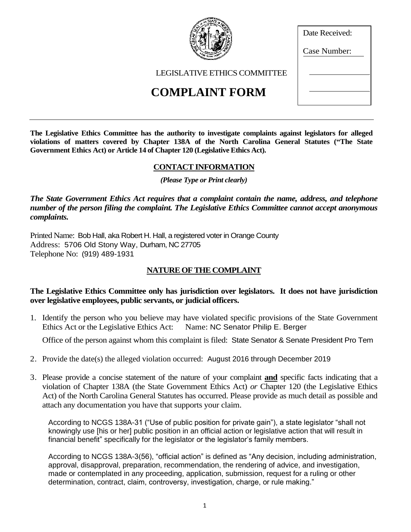# LEGISLATIVE ETHICS COMMITTEE **COMPLAINT FORM**

**The Legislative Ethics Committee has the authority to investigate complaints against legislators for alleged violations of matters covered by Chapter 138A of the North Carolina General Statutes ("The State Government Ethics Act) or Article 14 of Chapter 120 (Legislative Ethics Act).** 

## **CONTACT INFORMATION**

*(Please Type or Print clearly)*

*The State Government Ethics Act requires that a complaint contain the name, address, and telephone number of the person filing the complaint. The Legislative Ethics Committee cannot accept anonymous complaints.*

Printed Name: Bob Hall, aka Robert H. Hall, a registered voter in Orange County Address: 5706 Old Stony Way, Durham, NC 27705 Telephone No: (919) 489-1931

# **NATURE OF THE COMPLAINT**

#### **The Legislative Ethics Committee only has jurisdiction over legislators. It does not have jurisdiction over legislative employees, public servants, or judicial officers.**

1. Identify the person who you believe may have violated specific provisions of the State Government Ethics Act or the Legislative Ethics Act: Name: NC Senator Philip E. Berger

Office of the person against whom this complaint is filed: State Senator & Senate President Pro Tem

- 2. Provide the date(s) the alleged violation occurred: August 2016 through December 2019
- 3. Please provide a concise statement of the nature of your complaint **and** specific facts indicating that a violation of Chapter 138A (the State Government Ethics Act) *or* Chapter 120 (the Legislative Ethics Act) of the North Carolina General Statutes has occurred. Please provide as much detail as possible and attach any documentation you have that supports your claim.

According to NCGS 138A-31 ("Use of public position for private gain"), a state legislator "shall not knowingly use [his or her] public position in an official action or legislative action that will result in financial benefit" specifically for the legislator or the legislator's family members.

According to NCGS 138A-3(56), "official action" is defined as "Any decision, including administration, approval, disapproval, preparation, recommendation, the rendering of advice, and investigation, made or contemplated in any proceeding, application, submission, request for a ruling or other determination, contract, claim, controversy, investigation, charge, or rule making."



Date Received: Case Number: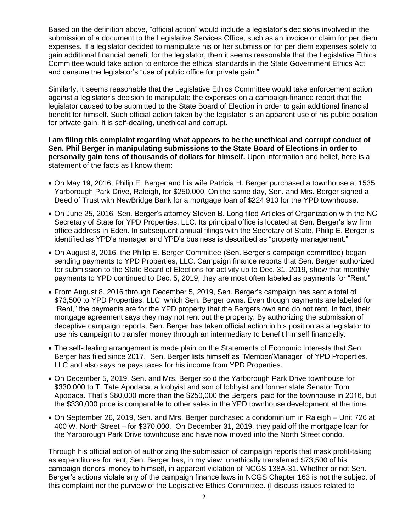Based on the definition above, "official action" would include a legislator's decisions involved in the submission of a document to the Legislative Services Office, such as an invoice or claim for per diem expenses. If a legislator decided to manipulate his or her submission for per diem expenses solely to gain additional financial benefit for the legislator, then it seems reasonable that the Legislative Ethics Committee would take action to enforce the ethical standards in the State Government Ethics Act and censure the legislator's "use of public office for private gain."

Similarly, it seems reasonable that the Legislative Ethics Committee would take enforcement action against a legislator's decision to manipulate the expenses on a campaign-finance report that the legislator caused to be submitted to the State Board of Election in order to gain additional financial benefit for himself. Such official action taken by the legislator is an apparent use of his public position for private gain. It is self-dealing, unethical and corrupt.

**I am filing this complaint regarding what appears to be the unethical and corrupt conduct of Sen. Phil Berger in manipulating submissions to the State Board of Elections in order to personally gain tens of thousands of dollars for himself.** Upon information and belief, here is a statement of the facts as I know them:

- On May 19, 2016, Philip E. Berger and his wife Patricia H. Berger purchased a townhouse at 1535 Yarborough Park Drive, Raleigh, for \$250,000. On the same day, Sen. and Mrs. Berger signed a Deed of Trust with NewBridge Bank for a mortgage loan of \$224,910 for the YPD townhouse.
- On June 25, 2016, Sen. Berger's attorney Steven B. Long filed Articles of Organization with the NC Secretary of State for YPD Properties, LLC. Its principal office is located at Sen. Berger's law firm office address in Eden. In subsequent annual filings with the Secretary of State, Philip E. Berger is identified as YPD's manager and YPD's business is described as "property management."
- On August 8, 2016, the Philip E. Berger Committee (Sen. Berger's campaign committee) began sending payments to YPD Properties, LLC. Campaign finance reports that Sen. Berger authorized for submission to the State Board of Elections for activity up to Dec. 31, 2019, show that monthly payments to YPD continued to Dec. 5, 2019; they are most often labeled as payments for "Rent."
- From August 8, 2016 through December 5, 2019, Sen. Berger's campaign has sent a total of \$73,500 to YPD Properties, LLC, which Sen. Berger owns. Even though payments are labeled for "Rent," the payments are for the YPD property that the Bergers own and do not rent. In fact, their mortgage agreement says they may not rent out the property. By authorizing the submission of deceptive campaign reports, Sen. Berger has taken official action in his position as a legislator to use his campaign to transfer money through an intermediary to benefit himself financially.
- The self-dealing arrangement is made plain on the Statements of Economic Interests that Sen. Berger has filed since 2017. Sen. Berger lists himself as "Member/Manager" of YPD Properties, LLC and also says he pays taxes for his income from YPD Properties.
- On December 5, 2019, Sen. and Mrs. Berger sold the Yarborough Park Drive townhouse for \$330,000 to T. Tate Apodaca, a lobbyist and son of lobbyist and former state Senator Tom Apodaca. That's \$80,000 more than the \$250,000 the Bergers' paid for the townhouse in 2016, but the \$330,000 price is comparable to other sales in the YPD townhouse development at the time.
- On September 26, 2019, Sen. and Mrs. Berger purchased a condominium in Raleigh Unit 726 at 400 W. North Street – for \$370,000. On December 31, 2019, they paid off the mortgage loan for the Yarborough Park Drive townhouse and have now moved into the North Street condo.

Through his official action of authorizing the submission of campaign reports that mask profit-taking as expenditures for rent, Sen. Berger has, in my view, unethically transferred \$73,500 of his campaign donors' money to himself, in apparent violation of NCGS 138A-31. Whether or not Sen. Berger's actions violate any of the campaign finance laws in NCGS Chapter 163 is not the subject of this complaint nor the purview of the Legislative Ethics Committee. (I discuss issues related to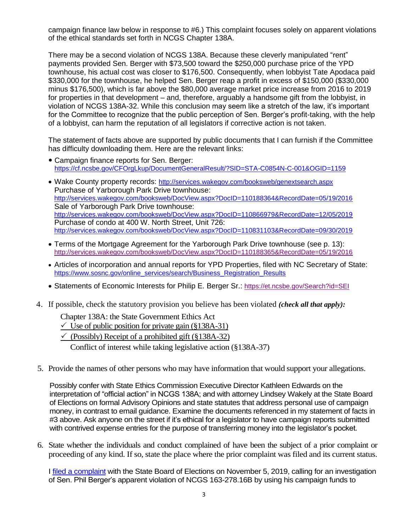campaign finance law below in response to #6.) This complaint focuses solely on apparent violations of the ethical standards set forth in NCGS Chapter 138A.

There may be a second violation of NCGS 138A. Because these cleverly manipulated "rent" payments provided Sen. Berger with \$73,500 toward the \$250,000 purchase price of the YPD townhouse, his actual cost was closer to \$176,500. Consequently, when lobbyist Tate Apodaca paid \$330,000 for the townhouse, he helped Sen. Berger reap a profit in excess of \$150,000 (\$330,000 minus \$176,500), which is far above the \$80,000 average market price increase from 2016 to 2019 for properties in that development – and, therefore, arguably a handsome gift from the lobbyist, in violation of NCGS 138A-32. While this conclusion may seem like a stretch of the law, it's important for the Committee to recognize that the public perception of Sen. Berger's profit-taking, with the help of a lobbyist, can harm the reputation of all legislators if corrective action is not taken.

The statement of facts above are supported by public documents that I can furnish if the Committee has difficulty downloading them. Here are the relevant links:

- Campaign finance reports for Sen. Berger: <https://cf.ncsbe.gov/CFOrgLkup/DocumentGeneralResult/?SID=STA-C0854N-C-001&OGID=1159>
- Wake County property records: <http://services.wakegov.com/booksweb/genextsearch.aspx> Purchase of Yarborough Park Drive townhouse: <http://services.wakegov.com/booksweb/DocView.aspx?DocID=110188364&RecordDate=05/19/2016> Sale of Yarborough Park Drive townhouse: <http://services.wakegov.com/booksweb/DocView.aspx?DocID=110866979&RecordDate=12/05/2019> Purchase of condo at 400 W. North Street, Unit 726: <http://services.wakegov.com/booksweb/DocView.aspx?DocID=110831103&RecordDate=09/30/2019>
- Terms of the Mortgage Agreement for the Yarborough Park Drive townhouse (see p. 13): <http://services.wakegov.com/booksweb/DocView.aspx?DocID=110188365&RecordDate=05/19/2016>
- Articles of incorporation and annual reports for YPD Properties, filed with NC Secretary of State: [https://www.sosnc.gov/online\\_services/search/Business\\_Registration\\_Results](https://www.sosnc.gov/online_services/search/Business_Registration_Results)
- Statements of Economic Interests for Philip E. Berger Sr.: <https://et.ncsbe.gov/Search?id=SEI>
- 4. If possible, check the statutory provision you believe has been violated *(check all that apply):*

Chapter 138A: the State Government Ethics Act

- $\checkmark$  Use of public position for private gain (§138A-31)
- $\checkmark$  (Possibly) Receipt of a prohibited gift (§138A-32)

Conflict of interest while taking legislative action (§138A-37)

5. Provide the names of other persons who may have information that would support your allegations.

Possibly confer with State Ethics Commission Executive Director Kathleen Edwards on the interpretation of "official action" in NCGS 138A; and with attorney Lindsey Wakely at the State Board of Elections on formal Advisory Opinions and state statutes that address personal use of campaign money, in contrast to email guidance. Examine the documents referenced in my statement of facts in #3 above. Ask anyone on the street if it's ethical for a legislator to have campaign reports submitted with contrived expense entries for the purpose of transferring money into the legislator's pocket.

6. State whether the individuals and conduct complained of have been the subject of a prior complaint or proceeding of any kind. If so, state the place where the prior complaint was filed and its current status.

I [filed a complaint](https://www.documentcloud.org/documents/6541095-ComplaintBergerHouse2019.html#document/p1/a534181) with the State Board of Elections on November 5, 2019, calling for an investigation of Sen. Phil Berger's apparent violation of NCGS 163-278.16B by using his campaign funds to